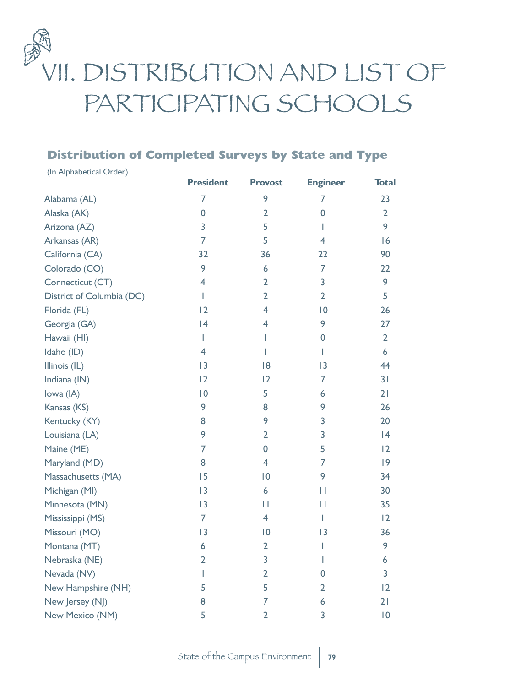

## **Distribution of Completed Surveys by State and Type**

| (In Alphabetical Order)   |                         |                |                 |                |
|---------------------------|-------------------------|----------------|-----------------|----------------|
|                           | <b>President</b>        | <b>Provost</b> | <b>Engineer</b> | <b>Total</b>   |
| Alabama (AL)              | 7                       | 9              | 7               | 23             |
| Alaska (AK)               | 0                       | $\overline{2}$ | 0               | $\overline{2}$ |
| Arizona (AZ)              | 3                       | 5              | I               | 9              |
| Arkansas (AR)             | 7                       | 5              | $\overline{4}$  | 6              |
| California (CA)           | 32                      | 36             | 22              | 90             |
| Colorado (CO)             | 9                       | 6              | 7               | 22             |
| Connecticut (CT)          | $\overline{4}$          | $\overline{2}$ | 3               | 9              |
| District of Columbia (DC) | L                       | $\overline{2}$ | $\overline{2}$  | 5              |
| Florida (FL)              | 2                       | $\overline{4}$ | $\overline{0}$  | 26             |
| Georgia (GA)              | 4                       | $\overline{4}$ | 9               | 27             |
| Hawaii (HI)               | L                       | L              | 0               | $\overline{2}$ |
| Idaho (ID)                | $\overline{4}$          | L              | L               | 6              |
| Illinois (IL)             | 3                       | 18             | $\overline{13}$ | 44             |
| Indiana (IN)              | 12                      | $\overline{2}$ | 7               | 31             |
| lowa (IA)                 | $ 0\rangle$             | 5              | 6               | 21             |
| Kansas (KS)               | 9                       | 8              | 9               | 26             |
| Kentucky (KY)             | 8                       | 9              | 3               | 20             |
| Louisiana (LA)            | 9                       | $\overline{2}$ | 3               | 4              |
| Maine (ME)                | 7                       | $\overline{0}$ | 5               | 2              |
| Maryland (MD)             | 8                       | $\overline{4}$ | 7               | 9              |
| Massachusetts (MA)        | 15                      | $\overline{0}$ | 9               | 34             |
| Michigan (MI)             | 3                       | 6              | П               | 30             |
| Minnesota (MN)            | 3                       | П              | П               | 35             |
| Mississippi (MS)          | 7                       | $\overline{4}$ | ı               | 12             |
| Missouri (MO)             | 3                       | 0              | 3               | 36             |
| Montana (MT)              | 6                       | $\overline{2}$ | I               | 9              |
| Nebraska (NE)             | $\overline{\mathbf{c}}$ | 3              |                 | 6              |
| Nevada (NV)               |                         | $\overline{2}$ | 0               | 3              |
| New Hampshire (NH)        | 5                       | 5              | 2               | 2              |
| New Jersey (NJ)           | 8                       | 7              | 6               | 21             |
| New Mexico (NM)           | 5                       | 2              | 3               | 0              |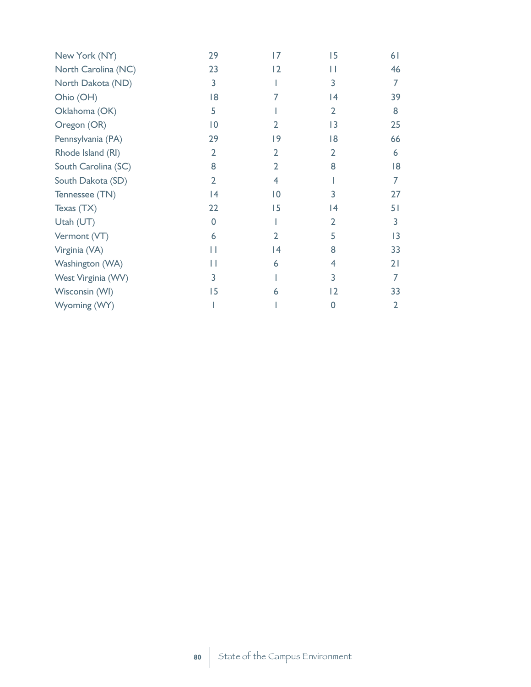| New York (NY)       | 29             | 17              | 15             | 61 |
|---------------------|----------------|-----------------|----------------|----|
| North Carolina (NC) | 23             | 2               | П              | 46 |
| North Dakota (ND)   | 3              |                 | 3              | 7  |
| Ohio (OH)           | 18             | 7               | 4              | 39 |
| Oklahoma (OK)       | 5              |                 | $\overline{2}$ | 8  |
| Oregon (OR)         | 0              | 2               | 3              | 25 |
| Pennsylvania (PA)   | 29             | 19              | 18             | 66 |
| Rhode Island (RI)   | $\overline{2}$ | $\overline{2}$  | $\overline{2}$ | 6  |
| South Carolina (SC) | 8              | $\overline{2}$  | 8              | 18 |
| South Dakota (SD)   | $\overline{2}$ | 4               |                | 7  |
| Tennessee (TN)      | 14             | $\overline{10}$ | 3              | 27 |
| Texas (TX)          | 22             | 15              | 4              | 51 |
| Utah (UT)           | $\Omega$       |                 | $\overline{2}$ | 3  |
| Vermont (VT)        | 6              | $\overline{2}$  | 5              | 3  |
| Virginia (VA)       | П              | 14              | 8              | 33 |
| Washington (WA)     | Н              | 6               | 4              | 21 |
| West Virginia (WV)  | 3              |                 | 3              |    |
| Wisconsin (WI)      | 15             | 6               | 2              | 33 |
| Wyoming (WY)        |                |                 | $\Omega$       | 2  |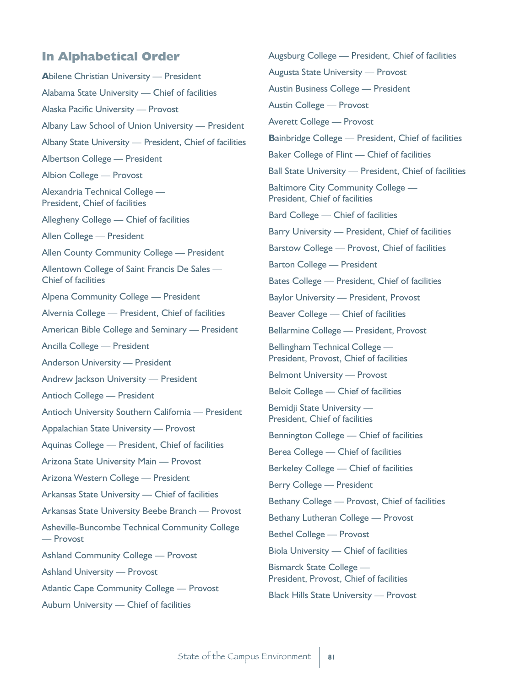## **In Alphabetical Order**

**A**bilene Christian University — President Alabama State University — Chief of facilities Alaska Pacific University — Provost Albany Law School of Union University — President Albany State University — President, Chief of facilities Albertson College — President Albion College — Provost Alexandria Technical College — President, Chief of facilities Allegheny College — Chief of facilities Allen College — President Allen County Community College — President Allentown College of Saint Francis De Sales — Chief of facilities Alpena Community College — President Alvernia College — President, Chief of facilities American Bible College and Seminary — President Ancilla College — President Anderson University — President Andrew Jackson University — President Antioch College — President Antioch University Southern California — President Appalachian State University — Provost Aquinas College — President, Chief of facilities Arizona State University Main — Provost Arizona Western College — President Arkansas State University — Chief of facilities Arkansas State University Beebe Branch — Provost Asheville-Buncombe Technical Community College — Provost Ashland Community College — Provost Ashland University — Provost Atlantic Cape Community College — Provost Auburn University — Chief of facilities

Augsburg College — President, Chief of facilities Augusta State University — Provost Austin Business College — President Austin College — Provost Averett College — Provost **B**ainbridge College — President, Chief of facilities Baker College of Flint — Chief of facilities Ball State University — President, Chief of facilities Baltimore City Community College — President, Chief of facilities Bard College — Chief of facilities Barry University — President, Chief of facilities Barstow College — Provost, Chief of facilities Barton College — President Bates College — President, Chief of facilities Baylor University — President, Provost Beaver College — Chief of facilities Bellarmine College — President, Provost Bellingham Technical College — President, Provost, Chief of facilities Belmont University — Provost Beloit College — Chief of facilities Bemidji State University — President, Chief of facilities Bennington College — Chief of facilities Berea College — Chief of facilities Berkeley College — Chief of facilities Berry College — President Bethany College — Provost, Chief of facilities Bethany Lutheran College — Provost Bethel College — Provost Biola University — Chief of facilities Bismarck State College — President, Provost, Chief of facilities Black Hills State University — Provost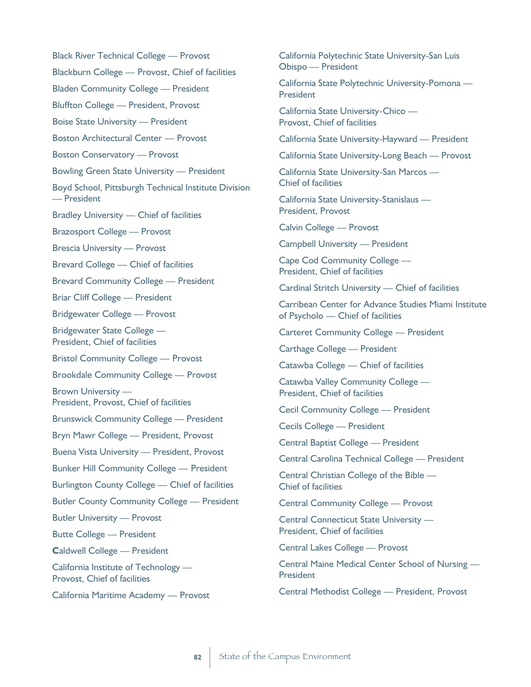Black River Technical College — Provost Blackburn College — Provost, Chief of facilities Bladen Community College — President Bluffton College — President, Provost Boise State University — President Boston Architectural Center — Provost Boston Conservatory — Provost Bowling Green State University — President Boyd School, Pittsburgh Technical Institute Division — President Bradley University — Chief of facilities Brazosport College — Provost Brescia University — Provost Brevard College — Chief of facilities Brevard Community College — President Briar Cliff College — President Bridgewater College — Provost Bridgewater State College — President, Chief of facilities Bristol Community College — Provost Brookdale Community College — Provost Brown University — President, Provost, Chief of facilities Brunswick Community College — President Bryn Mawr College — President, Provost Buena Vista University — President, Provost Bunker Hill Community College — President Burlington County College — Chief of facilities Butler County Community College — President Butler University — Provost Butte College — President **C**aldwell College — President California Institute of Technology — Provost, Chief of facilities

California Maritime Academy — Provost

California Polytechnic State University-San Luis Obispo — President

California State Polytechnic University-Pomona — President

California State University-Chico — Provost, Chief of facilities

California State University-Hayward — President

California State University-Long Beach — Provost

California State University-San Marcos — Chief of facilities

California State University-Stanislaus — President, Provost

Calvin College — Provost

Campbell University — President

Cape Cod Community College — President, Chief of facilities

Cardinal Stritch University — Chief of facilities

Carribean Center for Advance Studies Miami Institute of Psycholo — Chief of facilities

Carteret Community College — President

Carthage College — President

Catawba College — Chief of facilities

Catawba Valley Community College — President, Chief of facilities

Cecil Community College — President

Cecils College — President

Central Baptist College — President

Central Carolina Technical College — President

Central Christian College of the Bible — Chief of facilities

Central Community College — Provost

Central Connecticut State University — President, Chief of facilities

Central Lakes College — Provost

Central Maine Medical Center School of Nursing — President

Central Methodist College — President, Provost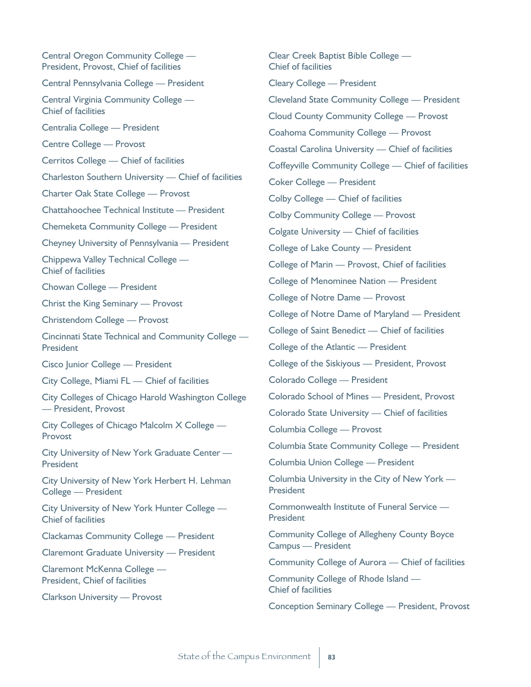Central Oregon Community College — President, Provost, Chief of facilities Central Pennsylvania College — President Central Virginia Community College — Chief of facilities Centralia College — President Centre College — Provost Cerritos College — Chief of facilities Charleston Southern University — Chief of facilities Charter Oak State College — Provost Chattahoochee Technical Institute — President Chemeketa Community College — President Cheyney University of Pennsylvania — President Chippewa Valley Technical College — Chief of facilities Chowan College — President Christ the King Seminary — Provost Christendom College — Provost Cincinnati State Technical and Community College — **President** Cisco Junior College — President City College, Miami FL — Chief of facilities City Colleges of Chicago Harold Washington College — President, Provost City Colleges of Chicago Malcolm X College — Provost City University of New York Graduate Center — **President** City University of New York Herbert H. Lehman College — President City University of New York Hunter College — Chief of facilities Clackamas Community College — President Claremont Graduate University — President Claremont McKenna College — President, Chief of facilities Clarkson University — Provost

Clear Creek Baptist Bible College — Chief of facilities Cleary College — President Cleveland State Community College — President Cloud County Community College — Provost Coahoma Community College — Provost Coastal Carolina University — Chief of facilities Coffeyville Community College — Chief of facilities Coker College — President Colby College — Chief of facilities Colby Community College — Provost Colgate University — Chief of facilities College of Lake County — President College of Marin — Provost, Chief of facilities College of Menominee Nation — President College of Notre Dame — Provost College of Notre Dame of Maryland — President College of Saint Benedict — Chief of facilities College of the Atlantic — President College of the Siskiyous — President, Provost Colorado College — President Colorado School of Mines — President, Provost Colorado State University — Chief of facilities Columbia College — Provost Columbia State Community College — President Columbia Union College — President Columbia University in the City of New York — President Commonwealth Institute of Funeral Service — President Community College of Allegheny County Boyce Campus — President Community College of Aurora — Chief of facilities Community College of Rhode Island — Chief of facilities Conception Seminary College — President, Provost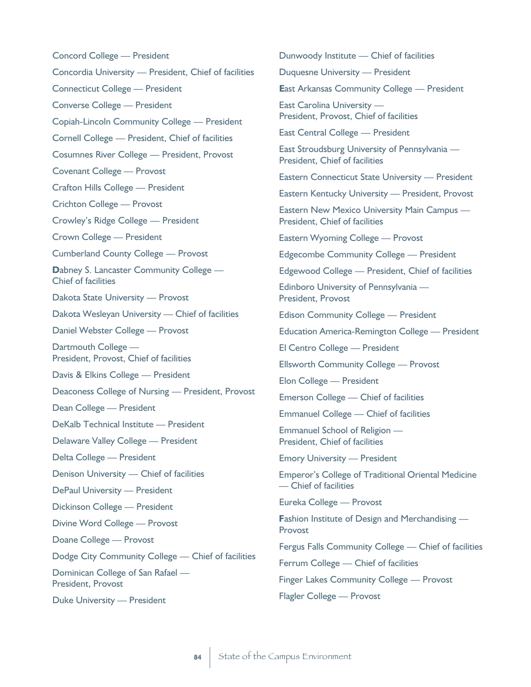Concord College — President Concordia University — President, Chief of facilities Connecticut College — President Converse College — President Copiah-Lincoln Community College — President Cornell College — President, Chief of facilities Cosumnes River College — President, Provost Covenant College — Provost Crafton Hills College — President Crichton College — Provost Crowley's Ridge College — President Crown College — President Cumberland County College — Provost **D**abney S. Lancaster Community College — Chief of facilities Dakota State University — Provost Dakota Wesleyan University — Chief of facilities Daniel Webster College — Provost Dartmouth College — President, Provost, Chief of facilities Davis & Elkins College — President Deaconess College of Nursing — President, Provost Dean College — President DeKalb Technical Institute — President Delaware Valley College — President Delta College — President Denison University — Chief of facilities DePaul University — President Dickinson College — President Divine Word College — Provost Doane College — Provost Dodge City Community College — Chief of facilities Dominican College of San Rafael — President, Provost Duke University — President

Dunwoody Institute — Chief of facilities Duquesne University — President **E**ast Arkansas Community College — President East Carolina University — President, Provost, Chief of facilities East Central College — President East Stroudsburg University of Pennsylvania — President, Chief of facilities Eastern Connecticut State University — President Eastern Kentucky University — President, Provost Eastern New Mexico University Main Campus — President, Chief of facilities Eastern Wyoming College — Provost Edgecombe Community College — President Edgewood College — President, Chief of facilities Edinboro University of Pennsylvania — President, Provost Edison Community College — President Education America-Remington College — President El Centro College — President Ellsworth Community College — Provost Elon College — President Emerson College — Chief of facilities Emmanuel College — Chief of facilities Emmanuel School of Religion — President, Chief of facilities Emory University — President Emperor's College of Traditional Oriental Medicine — Chief of facilities Eureka College — Provost **Fashion Institute of Design and Merchandising —** Provost Fergus Falls Community College — Chief of facilities Ferrum College — Chief of facilities

Finger Lakes Community College — Provost

Flagler College — Provost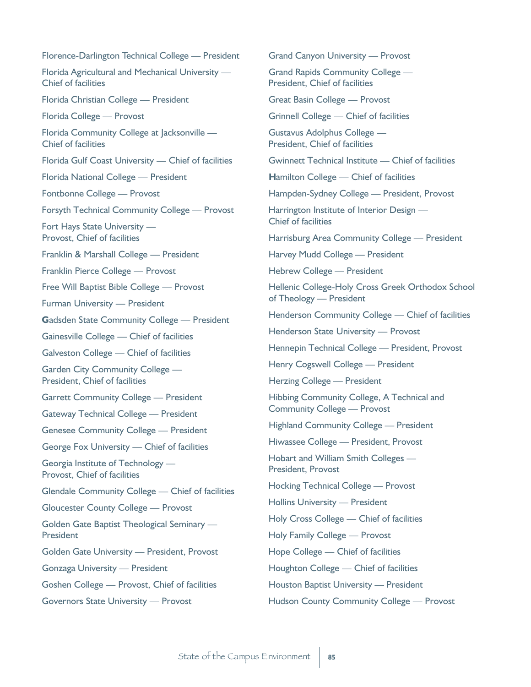| Florence-Darlington Technical College - President                       |
|-------------------------------------------------------------------------|
| Florida Agricultural and Mechanical University -<br>Chief of facilities |
| Florida Christian College - President                                   |
| Florida College - Provost                                               |
| Florida Community College at Jacksonville -<br>Chief of facilities      |
| Florida Gulf Coast University — Chief of facilities                     |
| Florida National College - President                                    |
| Fontbonne College - Provost                                             |
| <b>Forsyth Technical Community College - Provost</b>                    |
| Fort Hays State University -<br>Provost, Chief of facilities            |
| Franklin & Marshall College - President                                 |
| Franklin Pierce College - Provost                                       |
| Free Will Baptist Bible College - Provost                               |
| Furman University - President                                           |
| <b>Gadsden State Community College - President</b>                      |
| Gainesville College - Chief of facilities                               |
| Galveston College - Chief of facilities                                 |
| Garden City Community College -<br>President, Chief of facilities       |
| <b>Garrett Community College - President</b>                            |
| <b>Gateway Technical College - President</b>                            |
| <b>Genesee Community College - President</b>                            |
| George Fox University - Chief of facilities                             |
| Georgia Institute of Technology —<br>Provost, Chief of facilities       |
| Glendale Community College - Chief of facilities                        |
| <b>Gloucester County College — Provost</b>                              |
| Golden Gate Baptist Theological Seminary -<br>President                 |
| Golden Gate University - President, Provost                             |
| <b>Gonzaga University - President</b>                                   |
| Goshen College - Provost, Chief of facilities                           |
| Governors State University - Provost                                    |
|                                                                         |

Grand Canyon University — Provost

Grand Rapids Community College — President, Chief of facilities

Great Basin College — Provost

Grinnell College — Chief of facilities

Gustavus Adolphus College — President, Chief of facilities

Gwinnett Technical Institute — Chief of facilities

**H**amilton College — Chief of facilities

Hampden-Sydney College — President, Provost

Harrington Institute of Interior Design — Chief of facilities

Harrisburg Area Community College — President

Harvey Mudd College — President

Hebrew College — President

Hellenic College-Holy Cross Greek Orthodox School of Theology — President

Henderson Community College — Chief of facilities

Henderson State University — Provost

Hennepin Technical College — President, Provost

Henry Cogswell College — President

Herzing College — President

Hibbing Community College, A Technical and Community College — Provost

Highland Community College — President

Hiwassee College — President, Provost

Hobart and William Smith Colleges — President, Provost

Hocking Technical College — Provost

Hollins University — President

Holy Cross College — Chief of facilities

Holy Family College — Provost

Hope College — Chief of facilities

Houghton College — Chief of facilities

Houston Baptist University — President

Hudson County Community College — Provost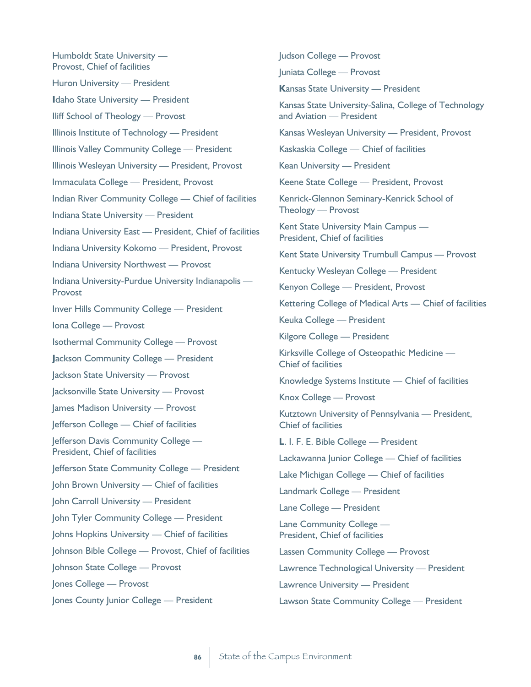Humboldt State University — Provost, Chief of facilities Huron University — President **I**daho State University — President Iliff School of Theology — Provost Illinois Institute of Technology — President Illinois Valley Community College — President Illinois Wesleyan University — President, Provost Immaculata College — President, Provost Indian River Community College — Chief of facilities Indiana State University — President Indiana University East — President, Chief of facilities Indiana University Kokomo — President, Provost Indiana University Northwest — Provost Indiana University-Purdue University Indianapolis — Provost Inver Hills Community College — President Iona College — Provost Isothermal Community College — Provost **J**ackson Community College — President Jackson State University — Provost Jacksonville State University — Provost James Madison University — Provost Jefferson College — Chief of facilities Jefferson Davis Community College — President, Chief of facilities Jefferson State Community College — President John Brown University — Chief of facilities John Carroll University — President John Tyler Community College — President Johns Hopkins University — Chief of facilities Johnson Bible College — Provost, Chief of facilities Johnson State College — Provost Jones College — Provost Jones County Junior College — President

Judson College — Provost Juniata College — Provost **K**ansas State University — President Kansas State University-Salina, College of Technology and Aviation — President Kansas Wesleyan University — President, Provost Kaskaskia College — Chief of facilities Kean University — President Keene State College — President, Provost Kenrick-Glennon Seminary-Kenrick School of Theology — Provost Kent State University Main Campus — President, Chief of facilities Kent State University Trumbull Campus — Provost Kentucky Wesleyan College — President Kenyon College — President, Provost Kettering College of Medical Arts — Chief of facilities Keuka College — President Kilgore College — President Kirksville College of Osteopathic Medicine — Chief of facilities Knowledge Systems Institute — Chief of facilities Knox College — Provost Kutztown University of Pennsylvania — President, Chief of facilities **L**. I. F. E. Bible College — President Lackawanna Junior College — Chief of facilities Lake Michigan College — Chief of facilities Landmark College — President Lane College — President Lane Community College — President, Chief of facilities Lassen Community College — Provost Lawrence Technological University — President Lawrence University — President

Lawson State Community College — President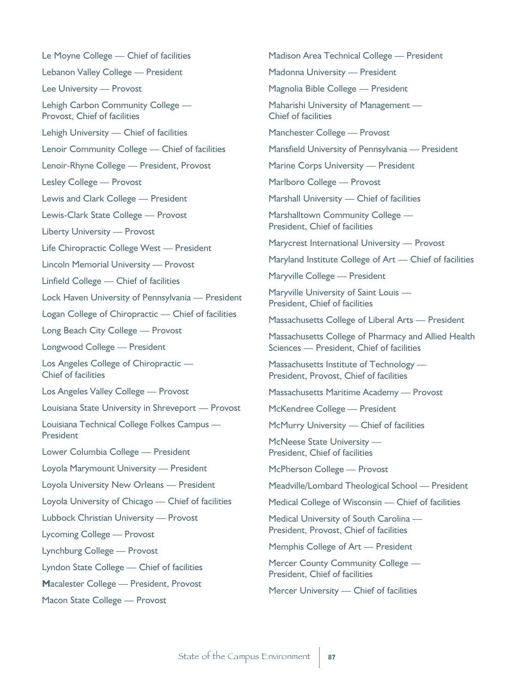Le Moyne College — Chief of facilities Lebanon Valley College — President Lee University — Provost Lehigh Carbon Community College — Provost, Chief of facilities Lehigh University — Chief of facilities Lenoir Community College — Chief of facilities Lenoir-Rhyne College — President, Provost Lesley College — Provost Lewis and Clark College — President Lewis-Clark State College — Provost Liberty University — Provost Life Chiropractic College West — President Lincoln Memorial University — Provost Linfield College — Chief of facilities Lock Haven University of Pennsylvania — President Logan College of Chiropractic — Chief of facilities Long Beach City College — Provost Longwood College — President Los Angeles College of Chiropractic — Chief of facilities Los Angeles Valley College — Provost Louisiana State University in Shreveport — Provost Louisiana Technical College Folkes Campus — **President** Lower Columbia College — President Loyola Marymount University — President Loyola University New Orleans — President Loyola University of Chicago — Chief of facilities Lubbock Christian University — Provost Lycoming College — Provost Lynchburg College — Provost Lyndon State College — Chief of facilities **M**acalester College — President, Provost Macon State College — Provost

Madison Area Technical College — President Madonna University — President Magnolia Bible College — President Maharishi University of Management — Chief of facilities Manchester College — Provost Mansfield University of Pennsylvania — President Marine Corps University — President Marlboro College — Provost Marshall University — Chief of facilities Marshalltown Community College — President, Chief of facilities Marycrest International University — Provost Maryland Institute College of Art — Chief of facilities Maryville College — President Maryville University of Saint Louis — President, Chief of facilities Massachusetts College of Liberal Arts — President Massachusetts College of Pharmacy and Allied Health Sciences — President, Chief of facilities Massachusetts Institute of Technology — President, Provost, Chief of facilities Massachusetts Maritime Academy — Provost McKendree College — President McMurry University — Chief of facilities McNeese State University — President, Chief of facilities McPherson College — Provost Meadville/Lombard Theological School — President Medical College of Wisconsin — Chief of facilities Medical University of South Carolina — President, Provost, Chief of facilities Memphis College of Art — President Mercer County Community College — President, Chief of facilities Mercer University — Chief of facilities

State of the Campus Environment | 87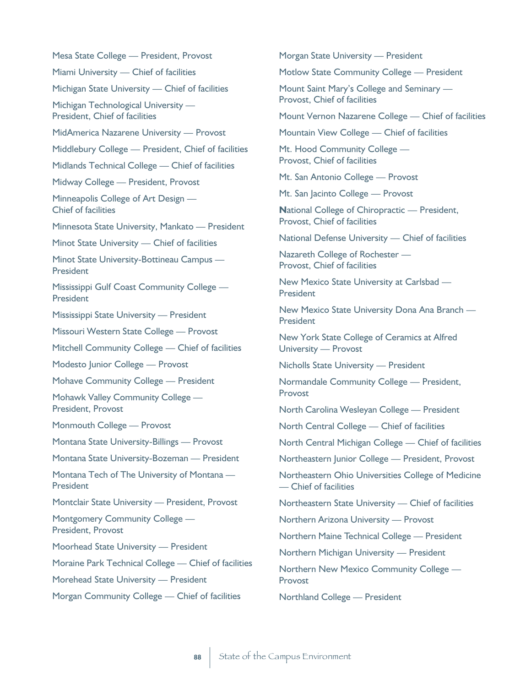Mesa State College — President, Provost Miami University — Chief of facilities Michigan State University — Chief of facilities Michigan Technological University — President, Chief of facilities MidAmerica Nazarene University — Provost Middlebury College — President, Chief of facilities Midlands Technical College — Chief of facilities Midway College — President, Provost Minneapolis College of Art Design — Chief of facilities Minnesota State University, Mankato — President Minot State University — Chief of facilities Minot State University-Bottineau Campus — President Mississippi Gulf Coast Community College — President Mississippi State University — President Missouri Western State College — Provost Mitchell Community College — Chief of facilities Modesto Junior College — Provost Mohave Community College — President Mohawk Valley Community College — President, Provost Monmouth College — Provost Montana State University-Billings — Provost Montana State University-Bozeman — President Montana Tech of The University of Montana — **President** Montclair State University — President, Provost Montgomery Community College — President, Provost Moorhead State University — President Moraine Park Technical College — Chief of facilities Morehead State University — President Morgan Community College — Chief of facilities

Morgan State University — President

Motlow State Community College — President

Mount Saint Mary's College and Seminary — Provost, Chief of facilities

Mount Vernon Nazarene College — Chief of facilities

Mountain View College — Chief of facilities

Mt. Hood Community College — Provost, Chief of facilities

Mt. San Antonio College — Provost

Mt. San Jacinto College — Provost

**N**ational College of Chiropractic — President, Provost, Chief of facilities

National Defense University — Chief of facilities

Nazareth College of Rochester — Provost, Chief of facilities

New Mexico State University at Carlsbad — President

New Mexico State University Dona Ana Branch — President

New York State College of Ceramics at Alfred University — Provost

Nicholls State University — President

Normandale Community College — President, Provost

North Carolina Wesleyan College — President

North Central College — Chief of facilities

North Central Michigan College — Chief of facilities

Northeastern Junior College — President, Provost

Northeastern Ohio Universities College of Medicine — Chief of facilities

Northeastern State University — Chief of facilities

Northern Arizona University — Provost

Northern Maine Technical College — President

Northern Michigan University — President

Northern New Mexico Community College — Provost

Northland College — President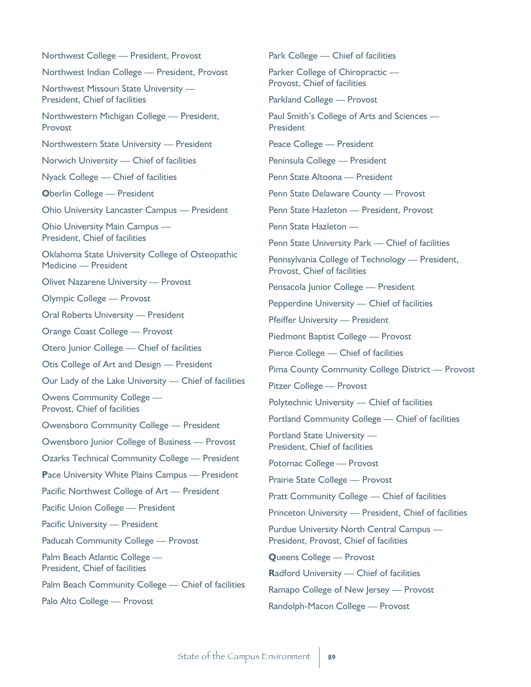| Northwest College - President, Provost                                   |
|--------------------------------------------------------------------------|
| Northwest Indian College - President, Provost                            |
| Northwest Missouri State University -<br>President, Chief of facilities  |
| Northwestern Michigan College — President,<br>Provost                    |
| Northwestern State University - President                                |
| Norwich University - Chief of facilities                                 |
| Nyack College - Chief of facilities                                      |
| <b>Oberlin College - President</b>                                       |
| Ohio University Lancaster Campus - President                             |
| Ohio University Main Campus -<br>President, Chief of facilities          |
| Oklahoma State University College of Osteopathic<br>Medicine - President |
| Olivet Nazarene University - Provost                                     |
| Olympic College - Provost                                                |
| <b>Oral Roberts University - President</b>                               |
| Orange Coast College - Provost                                           |
| Otero Junior College - Chief of facilities                               |
| Otis College of Art and Design - President                               |
| Our Lady of the Lake University - Chief of facilities                    |
| <b>Owens Community College -</b><br>Provost, Chief of facilities         |
| Owensboro Community College - President                                  |
| Owensboro Junior College of Business - Provost                           |
| <b>Ozarks Technical Community College - President</b>                    |
| <b>Pace University White Plains Campus — President</b>                   |
| Pacific Northwest College of Art - President                             |
| Pacific Union College - President                                        |
| Pacific University - President                                           |
| Paducah Community College - Provost                                      |
| Palm Beach Atlantic College -<br>President, Chief of facilities          |
| Palm Beach Community College - Chief of facilities                       |
| Palo Alto College - Provost                                              |
|                                                                          |

Park College — Chief of facilities Parker College of Chiropractic — Provost, Chief of facilities Parkland College — Provost Paul Smith's College of Arts and Sciences — President Peace College — President Peninsula College — President Penn State Altoona — President Penn State Delaware County — Provost Penn State Hazleton — President, Provost Penn State Hazleton — Penn State University Park — Chief of facilities Pennsylvania College of Technology — President, Provost, Chief of facilities Pensacola Junior College — President Pepperdine University — Chief of facilities Pfeiffer University — President Piedmont Baptist College — Provost Pierce College — Chief of facilities Pima County Community College District — Provost Pitzer College — Provost Polytechnic University — Chief of facilities Portland Community College — Chief of facilities Portland State University — President, Chief of facilities Potomac College — Provost Prairie State College — Provost Pratt Community College — Chief of facilities Princeton University — President, Chief of facilities Purdue University North Central Campus — President, Provost, Chief of facilities **Q**ueens College — Provost **R**adford University — Chief of facilities Ramapo College of New Jersey — Provost

Randolph-Macon College — Provost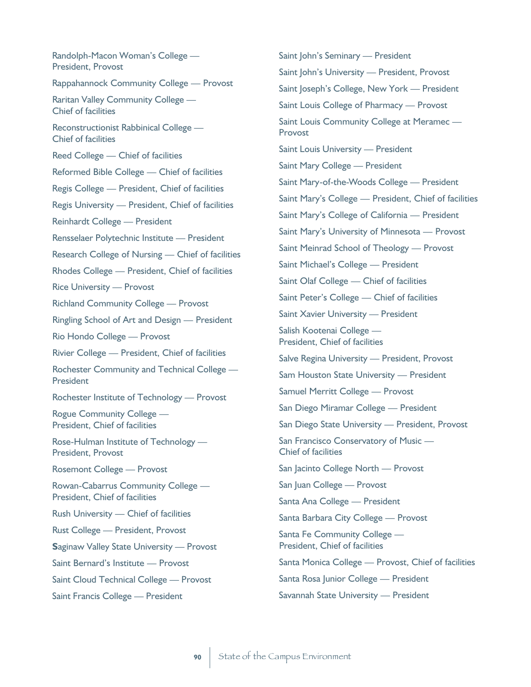Randolph-Macon Woman's College — President, Provost Rappahannock Community College — Provost Raritan Valley Community College — Chief of facilities Reconstructionist Rabbinical College — Chief of facilities Reed College — Chief of facilities Reformed Bible College — Chief of facilities Regis College — President, Chief of facilities Regis University — President, Chief of facilities Reinhardt College — President Rensselaer Polytechnic Institute — President Research College of Nursing — Chief of facilities Rhodes College — President, Chief of facilities Rice University — Provost Richland Community College — Provost Ringling School of Art and Design — President Rio Hondo College — Provost Rivier College — President, Chief of facilities Rochester Community and Technical College — President Rochester Institute of Technology — Provost Rogue Community College — President, Chief of facilities Rose-Hulman Institute of Technology — President, Provost Rosemont College — Provost Rowan-Cabarrus Community College — President, Chief of facilities Rush University — Chief of facilities Rust College — President, Provost **S**aginaw Valley State University — Provost Saint Bernard's Institute — Provost Saint Cloud Technical College — Provost Saint Francis College — President

Saint John's Seminary - President Saint John's University — President, Provost Saint Joseph's College, New York — President Saint Louis College of Pharmacy — Provost Saint Louis Community College at Meramec — Provost Saint Louis University — President Saint Mary College — President Saint Mary-of-the-Woods College — President Saint Mary's College — President, Chief of facilities Saint Mary's College of California — President Saint Mary's University of Minnesota — Provost Saint Meinrad School of Theology — Provost Saint Michael's College — President Saint Olaf College — Chief of facilities Saint Peter's College — Chief of facilities Saint Xavier University — President Salish Kootenai College — President, Chief of facilities Salve Regina University — President, Provost Sam Houston State University — President Samuel Merritt College — Provost San Diego Miramar College — President San Diego State University — President, Provost San Francisco Conservatory of Music — Chief of facilities San Jacinto College North — Provost San Juan College — Provost Santa Ana College — President Santa Barbara City College — Provost Santa Fe Community College — President, Chief of facilities Santa Monica College — Provost, Chief of facilities Santa Rosa Junior College — President Savannah State University — President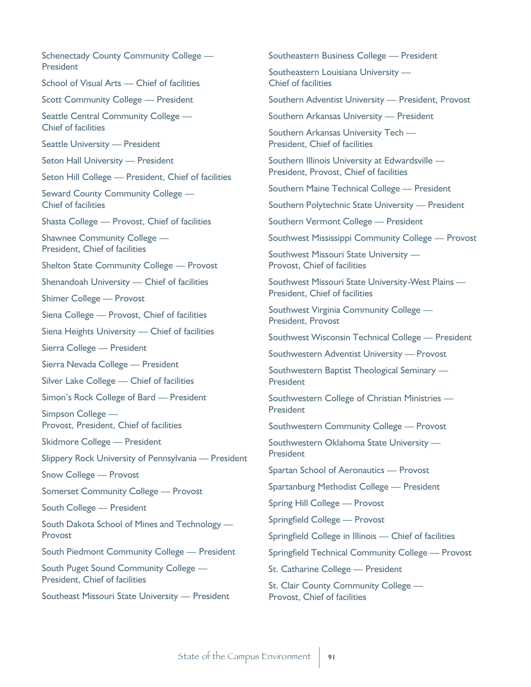Schenectady County Community College — **President** School of Visual Arts — Chief of facilities Scott Community College — President Seattle Central Community College — Chief of facilities Seattle University — President Seton Hall University — President Seton Hill College — President, Chief of facilities Seward County Community College — Chief of facilities Shasta College — Provost, Chief of facilities Shawnee Community College — President, Chief of facilities Shelton State Community College — Provost Shenandoah University — Chief of facilities Shimer College — Provost Siena College — Provost, Chief of facilities Siena Heights University — Chief of facilities Sierra College — President Sierra Nevada College — President Silver Lake College — Chief of facilities Simon's Rock College of Bard — President Simpson College — Provost, President, Chief of facilities Skidmore College — President Slippery Rock University of Pennsylvania — President Snow College — Provost Somerset Community College — Provost South College — President South Dakota School of Mines and Technology — Provost South Piedmont Community College — President South Puget Sound Community College — President, Chief of facilities Southeast Missouri State University — President

Southeastern Business College — President

Southeastern Louisiana University — Chief of facilities

Southern Adventist University — President, Provost

Southern Arkansas University — President

Southern Arkansas University Tech — President, Chief of facilities

Southern Illinois University at Edwardsville — President, Provost, Chief of facilities

Southern Maine Technical College — President

Southern Polytechnic State University — President

Southern Vermont College — President

Southwest Mississippi Community College — Provost

Southwest Missouri State University — Provost, Chief of facilities

Southwest Missouri State University-West Plains — President, Chief of facilities

Southwest Virginia Community College — President, Provost

Southwest Wisconsin Technical College — President

Southwestern Adventist University — Provost

Southwestern Baptist Theological Seminary — President

Southwestern College of Christian Ministries — President

Southwestern Community College — Provost

Southwestern Oklahoma State University — President

Spartan School of Aeronautics — Provost

Spartanburg Methodist College — President

Spring Hill College — Provost

Springfield College — Provost

Springfield College in Illinois — Chief of facilities

Springfield Technical Community College — Provost

St. Catharine College — President

St. Clair County Community College — Provost, Chief of facilities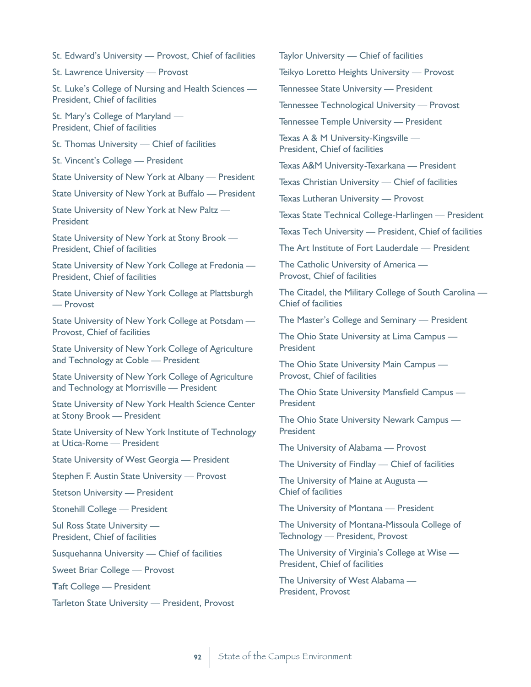St. Edward's University — Provost, Chief of facilities

St. Lawrence University — Provost

St. Luke's College of Nursing and Health Sciences — President, Chief of facilities

St. Mary's College of Maryland — President, Chief of facilities

St. Thomas University — Chief of facilities

St. Vincent's College — President

State University of New York at Albany — President

State University of New York at Buffalo — President

State University of New York at New Paltz — President

State University of New York at Stony Brook — President, Chief of facilities

State University of New York College at Fredonia — President, Chief of facilities

State University of New York College at Plattsburgh — Provost

State University of New York College at Potsdam — Provost, Chief of facilities

State University of New York College of Agriculture and Technology at Coble — President

State University of New York College of Agriculture and Technology at Morrisville — President

State University of New York Health Science Center at Stony Brook — President

State University of New York Institute of Technology at Utica-Rome — President

State University of West Georgia — President

Stephen F. Austin State University — Provost

Stetson University — President

Stonehill College — President

Sul Ross State University — President, Chief of facilities

Susquehanna University — Chief of facilities

Sweet Briar College — Provost

**T**aft College — President

Tarleton State University — President, Provost

Taylor University — Chief of facilities

Teikyo Loretto Heights University — Provost

Tennessee State University — President

Tennessee Technological University — Provost

Tennessee Temple University — President

Texas A & M University-Kingsville — President, Chief of facilities

Texas A&M University-Texarkana — President

Texas Christian University — Chief of facilities

Texas Lutheran University — Provost

Texas State Technical College-Harlingen — President

Texas Tech University — President, Chief of facilities

The Art Institute of Fort Lauderdale — President

The Catholic University of America — Provost, Chief of facilities

The Citadel, the Military College of South Carolina — Chief of facilities

The Master's College and Seminary — President

The Ohio State University at Lima Campus — **President** 

The Ohio State University Main Campus — Provost, Chief of facilities

The Ohio State University Mansfield Campus — President

The Ohio State University Newark Campus — **President** 

The University of Alabama — Provost

The University of Findlay — Chief of facilities

The University of Maine at Augusta — Chief of facilities

The University of Montana — President

The University of Montana-Missoula College of Technology — President, Provost

The University of Virginia's College at Wise — President, Chief of facilities

The University of West Alabama — President, Provost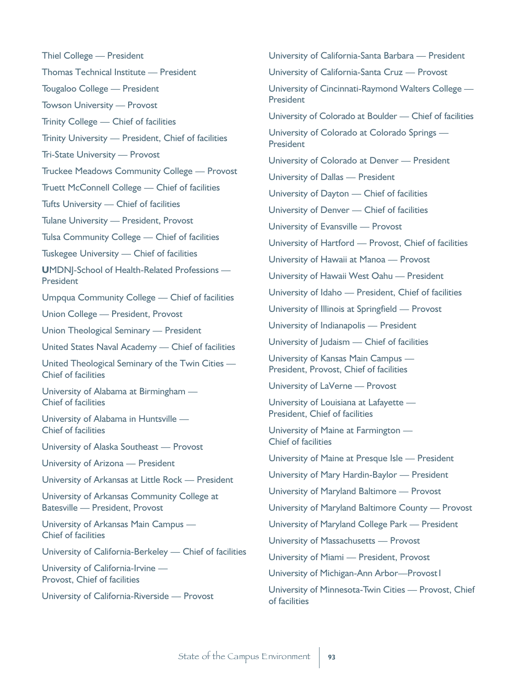Thiel College — President Thomas Technical Institute — President Tougaloo College — President Towson University — Provost Trinity College — Chief of facilities Trinity University — President, Chief of facilities Tri-State University — Provost Truckee Meadows Community College — Provost Truett McConnell College — Chief of facilities Tufts University — Chief of facilities Tulane University — President, Provost Tulsa Community College — Chief of facilities Tuskegee University — Chief of facilities **U**MDNJ-School of Health-Related Professions — President Umpqua Community College — Chief of facilities Union College — President, Provost Union Theological Seminary — President United States Naval Academy — Chief of facilities United Theological Seminary of the Twin Cities — Chief of facilities University of Alabama at Birmingham — Chief of facilities University of Alabama in Huntsville — Chief of facilities University of Alaska Southeast — Provost University of Arizona — President University of Arkansas at Little Rock — President University of Arkansas Community College at Batesville — President, Provost University of Arkansas Main Campus — Chief of facilities University of California-Berkeley — Chief of facilities University of California-Irvine — Provost, Chief of facilities University of California-Riverside — Provost

University of California-Santa Barbara — President University of California-Santa Cruz — Provost University of Cincinnati-Raymond Walters College — President University of Colorado at Boulder — Chief of facilities University of Colorado at Colorado Springs — **President** University of Colorado at Denver — President University of Dallas — President University of Dayton — Chief of facilities University of Denver — Chief of facilities University of Evansville — Provost University of Hartford — Provost, Chief of facilities University of Hawaii at Manoa — Provost University of Hawaii West Oahu — President University of Idaho — President, Chief of facilities University of Illinois at Springfield — Provost University of Indianapolis — President University of Judaism — Chief of facilities University of Kansas Main Campus — President, Provost, Chief of facilities University of LaVerne — Provost University of Louisiana at Lafayette — President, Chief of facilities University of Maine at Farmington — Chief of facilities University of Maine at Presque Isle — President University of Mary Hardin-Baylor — President University of Maryland Baltimore — Provost University of Maryland Baltimore County — Provost University of Maryland College Park — President University of Massachusetts — Provost University of Miami — President, Provost University of Michigan-Ann Arbor—Provost1 University of Minnesota-Twin Cities — Provost, Chief of facilities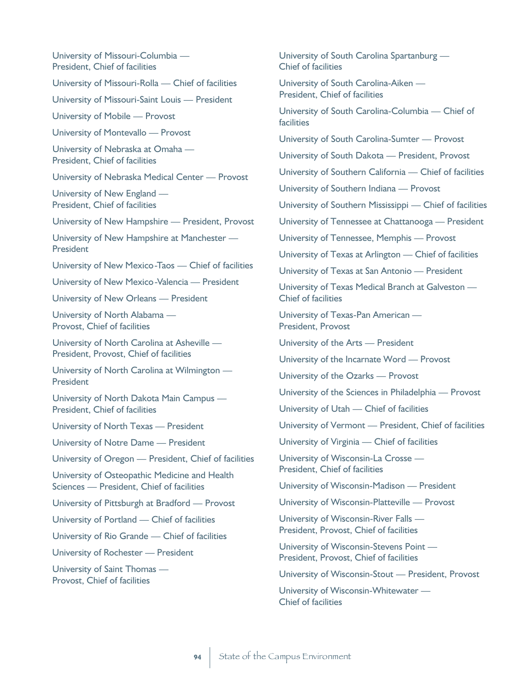University of Missouri-Columbia — President, Chief of facilities

University of Missouri-Rolla — Chief of facilities

University of Missouri-Saint Louis — President

University of Mobile — Provost

University of Montevallo — Provost

University of Nebraska at Omaha — President, Chief of facilities

University of Nebraska Medical Center — Provost

University of New England — President, Chief of facilities

University of New Hampshire — President, Provost

University of New Hampshire at Manchester — **President** 

University of New Mexico-Taos — Chief of facilities

University of New Mexico-Valencia — President

University of New Orleans — President

University of North Alabama — Provost, Chief of facilities

University of North Carolina at Asheville — President, Provost, Chief of facilities

University of North Carolina at Wilmington — **President** 

University of North Dakota Main Campus — President, Chief of facilities

University of North Texas — President

University of Notre Dame — President

University of Oregon — President, Chief of facilities

University of Osteopathic Medicine and Health Sciences — President, Chief of facilities

University of Pittsburgh at Bradford — Provost

University of Portland — Chief of facilities

University of Rio Grande — Chief of facilities

University of Rochester — President

University of Saint Thomas — Provost, Chief of facilities

University of South Carolina Spartanburg — Chief of facilities

University of South Carolina-Aiken — President, Chief of facilities

University of South Carolina-Columbia — Chief of facilities

University of South Carolina-Sumter — Provost

University of South Dakota — President, Provost

University of Southern California — Chief of facilities

University of Southern Indiana — Provost

University of Southern Mississippi — Chief of facilities

University of Tennessee at Chattanooga — President

University of Tennessee, Memphis — Provost

University of Texas at Arlington — Chief of facilities

University of Texas at San Antonio — President

University of Texas Medical Branch at Galveston — Chief of facilities

University of Texas-Pan American — President, Provost

University of the Arts — President

University of the Incarnate Word — Provost

University of the Ozarks — Provost

University of the Sciences in Philadelphia — Provost

University of Utah — Chief of facilities

University of Vermont — President, Chief of facilities

University of Virginia — Chief of facilities

University of Wisconsin-La Crosse — President, Chief of facilities

University of Wisconsin-Madison — President

University of Wisconsin-Platteville — Provost

University of Wisconsin-River Falls — President, Provost, Chief of facilities

University of Wisconsin-Stevens Point — President, Provost, Chief of facilities

University of Wisconsin-Stout — President, Provost

University of Wisconsin-Whitewater — Chief of facilities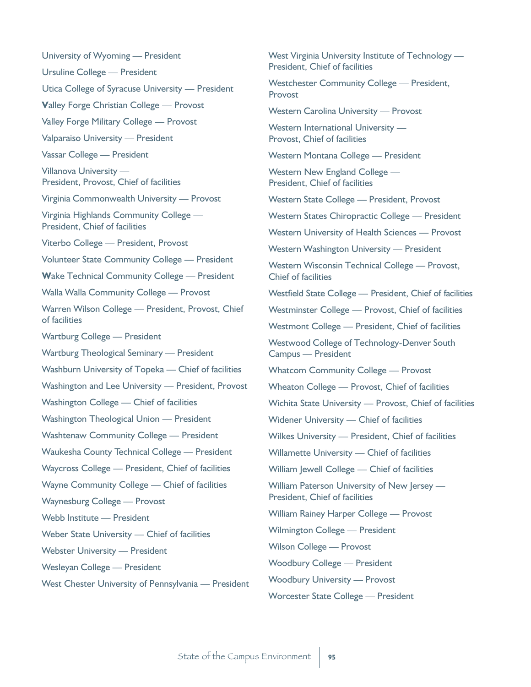University of Wyoming — President Ursuline College — President Utica College of Syracuse University — President **V**alley Forge Christian College — Provost Valley Forge Military College — Provost Valparaiso University — President Vassar College — President Villanova University — President, Provost, Chief of facilities Virginia Commonwealth University — Provost Virginia Highlands Community College — President, Chief of facilities Viterbo College — President, Provost Volunteer State Community College — President **W**ake Technical Community College — President Walla Walla Community College — Provost Warren Wilson College — President, Provost, Chief of facilities Wartburg College — President Wartburg Theological Seminary — President Washburn University of Topeka — Chief of facilities Washington and Lee University — President, Provost Washington College — Chief of facilities Washington Theological Union — President Washtenaw Community College — President Waukesha County Technical College — President Waycross College — President, Chief of facilities Wayne Community College — Chief of facilities Waynesburg College — Provost Webb Institute — President Weber State University — Chief of facilities Webster University — President Wesleyan College — President West Chester University of Pennsylvania — President

West Virginia University Institute of Technology — President, Chief of facilities Westchester Community College — President, Provost Western Carolina University — Provost Western International University —

Provost, Chief of facilities

Western Montana College — President

Western New England College — President, Chief of facilities

Western State College — President, Provost

Western States Chiropractic College — President

Western University of Health Sciences — Provost

Western Washington University — President

Western Wisconsin Technical College — Provost, Chief of facilities

Westfield State College — President, Chief of facilities

Westminster College — Provost, Chief of facilities

Westmont College — President, Chief of facilities

Westwood College of Technology-Denver South Campus — President

Whatcom Community College — Provost

Wheaton College — Provost, Chief of facilities

Wichita State University — Provost, Chief of facilities

Widener University — Chief of facilities

Wilkes University — President, Chief of facilities

Willamette University — Chief of facilities

William Jewell College — Chief of facilities

William Paterson University of New Jersey — President, Chief of facilities

William Rainey Harper College — Provost

Wilmington College — President

Wilson College — Provost

Woodbury College — President

Woodbury University — Provost

Worcester State College — President